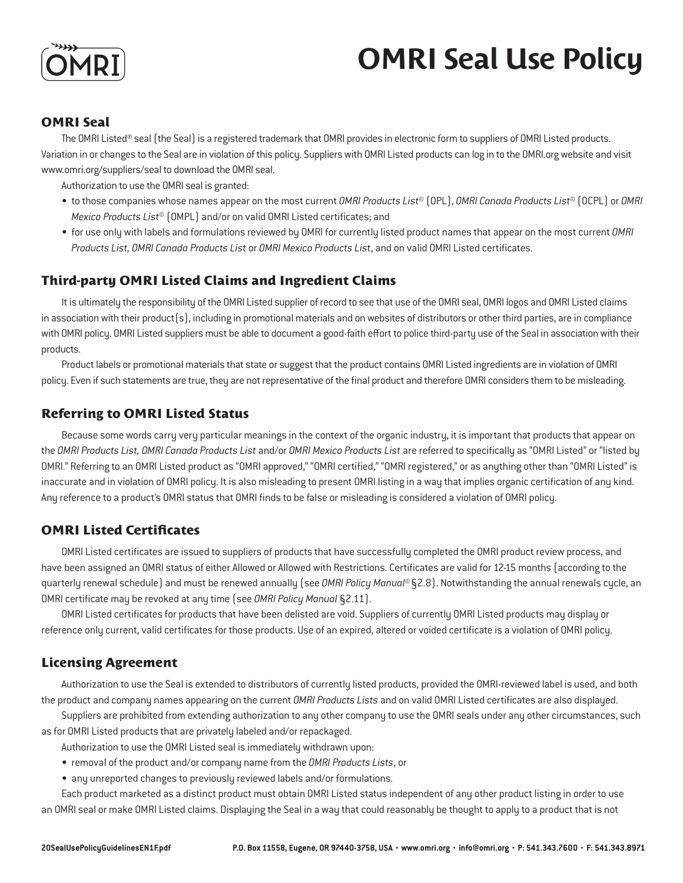

# **OMRI Seal Use Policy**

## **OMRI Seal**

The OMRI Listed® seal (the Seal) is a registered trademark that OMRI provides in electronic form to suppliers of OMRI Listed products. Variation in or changes to the Seal are in violation of this policy. Suppliers with OMRI Listed products can log in to the OMRI.org website and visit www.omri.org/suppliers/seal to download the OMRI seal.

Authorization to use the OMRI seal is granted:

- to those companies whose names appear on the most current *OMRI Products List*© (OPL), *OMRI Canada Products List*© (OCPL) or *OMRI Mexico Products List*© (OMPL) and/or on valid OMRI Listed certificates; and
- for use only with labels and formulations reviewed by OMRI for currently listed product names that appear on the most current *OMRI Products List, OMRI Canada Products List* or *OMRI Mexico Products List*, and on valid OMRI Listed certificates.

## **Third-party OMRI Listed Claims and Ingredient Claims**

It is ultimately the responsibility of the OMRI Listed supplier of record to see that use of the OMRI seal, OMRI logos and OMRI Listed claims in association with their product(s), including in promotional materials and on websites of distributors or other third parties, are in compliance with OMRI policy. OMRI Listed suppliers must be able to document a good-faith effort to police third-party use of the Seal in association with their products.

Product labels or promotional materials that state or suggest that the product contains OMRI Listed ingredients are in violation of OMRI policy. Even if such statements are true, they are not representative of the final product and therefore OMRI considers them to be misleading.

### **Referring to OMRI Listed Status**

Because some words carry very particular meanings in the context of the organic industry, it is important that products that appear on the *OMRI Products List, OMRI Canada Products List* and/or *OMRI Mexico Products List* are referred to specifically as "OMRI Listed" or "listed by OMRI." Referring to an OMRI Listed product as "OMRI approved," "OMRI certified," "OMRI registered," or as anything other than "OMRI Listed" is inaccurate and in violation of OMRI policy. It is also misleading to present OMRI listing in a way that implies organic certification of any kind. Any reference to a product's OMRI status that OMRI finds to be false or misleading is considered a violation of OMRI policy.

### **OMRI Listed Certificates**

OMRI Listed certificates are issued to suppliers of products that have successfully completed the OMRI product review process, and have been assigned an OMRI status of either Allowed or Allowed with Restrictions. Certificates are valid for 12-15 months (according to the quarterly renewal schedule) and must be renewed annually (see *OMRI Policy Manual*© §2.8). Notwithstanding the annual renewals cycle, an OMRI certificate may be revoked at any time (see *OMRI Policy Manual* §2.11).

OMRI Listed certificates for products that have been delisted are void. Suppliers of currently OMRI Listed products may display or reference only current, valid certificates for those products. Use of an expired, altered or voided certificate is a violation of OMRI policy.

### **Licensing Agreement**

Authorization to use the Seal is extended to distributors of currently listed products, provided the OMRI-reviewed label is used, and both the product and company names appearing on the current *OMRI Products Lists* and on valid OMRI Listed certificates are also displayed.

Suppliers are prohibited from extending authorization to any other company to use the OMRI seals under any other circumstances, such as for OMRI Listed products that are privately labeled and/or repackaged.

Authorization to use the OMRI Listed seal is immediately withdrawn upon:

- removal of the product and/or company name from the *OMRI Products Lists*, or
- any unreported changes to previously reviewed labels and/or formulations.

Each product marketed as a distinct product must obtain OMRI Listed status independent of any other product listing in order to use an OMRI seal or make OMRI Listed claims. Displaying the Seal in a way that could reasonably be thought to apply to a product that is not